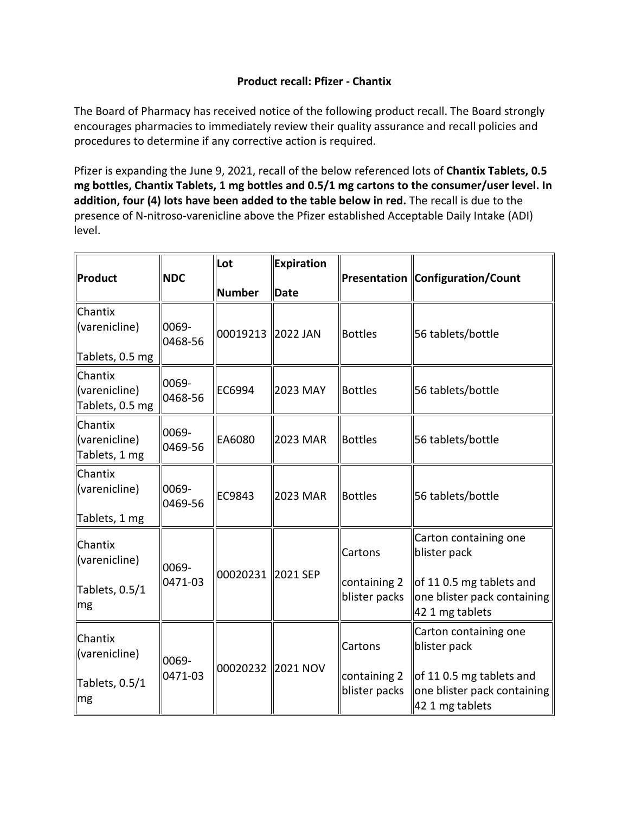## **Product recall: Pfizer - Chantix**

 The Board of Pharmacy has received notice of the following product recall. The Board strongly encourages pharmacies to immediately review their quality assurance and recall policies and procedures to determine if any corrective action is required.

 Pfizer is expanding the June 9, 2021, recall of the below referenced lots of **Chantix Tablets, 0.5 mg bottles, Chantix Tablets, 1 mg bottles and 0.5/1 mg cartons to the consumer/user level. In addition, four (4) lots have been added to the table below in red.** The recall is due to the presence of N-nitroso-varenicline above the Pfizer established Acceptable Daily Intake (ADI) level.

|                                             |                  | Lot                                                                   | <b>Expiration</b>                                       |                               |                                                                            |
|---------------------------------------------|------------------|-----------------------------------------------------------------------|---------------------------------------------------------|-------------------------------|----------------------------------------------------------------------------|
| <b>Product</b>                              | <b>NDC</b>       | Number                                                                | <b>Date</b>                                             |                               | Presentation Configuration/Count                                           |
| Chantix<br>(varenicline)                    | 0069-<br>0468-56 | 00019213                                                              | 2022 JAN                                                | <b>Bottles</b>                | 56 tablets/bottle                                                          |
| Tablets, 0.5 mg                             |                  |                                                                       |                                                         |                               |                                                                            |
| Chantix<br>(varenicline)<br>Tablets, 0.5 mg | 0069-<br>0468-56 | EC6994                                                                | 2023 MAY                                                | Bottles                       | 56 tablets/bottle                                                          |
| Chantix<br>(varenicline)<br>Tablets, 1 mg   | 0069-<br>0469-56 | EA6080                                                                | 2023 MAR                                                | Bottles                       | 56 tablets/bottle                                                          |
| Chantix<br>(varenicline)<br>Tablets, 1 mg   | 0069-<br>0469-56 | EC9843                                                                | 2023 MAR                                                | Bottles                       | 56 tablets/bottle                                                          |
| Chantix<br>(varenicline)                    | 0069-            |                                                                       |                                                         | Cartons                       | Carton containing one<br>blister pack                                      |
| Tablets, 0.5/1<br>mg                        | 0471-03          | 00020231 2021 SEP<br>containing 2<br>blister packs<br>42 1 mg tablets | of 11 0.5 mg tablets and<br>one blister pack containing |                               |                                                                            |
| Chantix<br>(varenicline)                    | 0069-            |                                                                       |                                                         | Cartons                       | Carton containing one<br>blister pack                                      |
| Tablets, 0.5/1<br>mg                        | 0471-03          | 00020232 2021 NOV                                                     |                                                         | containing 2<br>blister packs | of 11 0.5 mg tablets and<br>one blister pack containing<br>42 1 mg tablets |